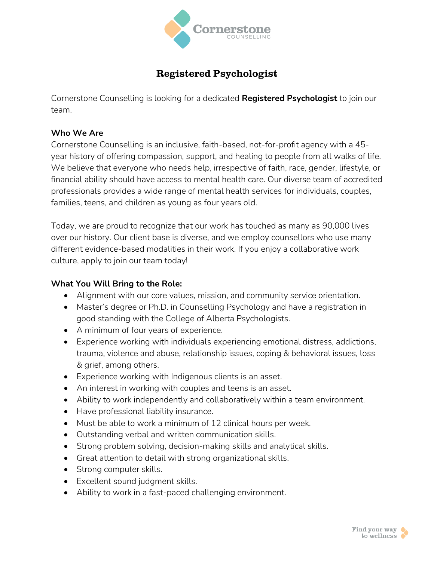

# **Registered Psychologist**

Cornerstone Counselling is looking for a dedicated **Registered Psychologist** to join our team.

### **Who We Are**

Cornerstone Counselling is an inclusive, faith-based, not-for-profit agency with a 45 year history of offering compassion, support, and healing to people from all walks of life. We believe that everyone who needs help, irrespective of faith, race, gender, lifestyle, or financial ability should have access to mental health care. Our diverse team of accredited professionals provides a wide range of mental health services for individuals, couples, families, teens, and children as young as four years old.

Today, we are proud to recognize that our work has touched as many as 90,000 lives over our history. Our client base is diverse, and we employ counsellors who use many different evidence-based modalities in their work. If you enjoy a collaborative work culture, apply to join our team today!

# **What You Will Bring to the Role:**

- Alignment with our core values, mission, and community service orientation.
- Master's degree or Ph.D. in Counselling Psychology and have a registration in good standing with the College of Alberta Psychologists.
- A minimum of four years of experience.
- Experience working with individuals experiencing emotional distress, addictions, trauma, violence and abuse, relationship issues, coping & behavioral issues, loss & grief, among others.
- Experience working with Indigenous clients is an asset.
- An interest in working with couples and teens is an asset.
- Ability to work independently and collaboratively within a team environment.
- Have professional liability insurance.
- Must be able to work a minimum of 12 clinical hours per week.
- Outstanding verbal and written communication skills.
- Strong problem solving, decision-making skills and analytical skills.
- Great attention to detail with strong organizational skills.
- Strong computer skills.
- Excellent sound judgment skills.
- Ability to work in a fast-paced challenging environment.